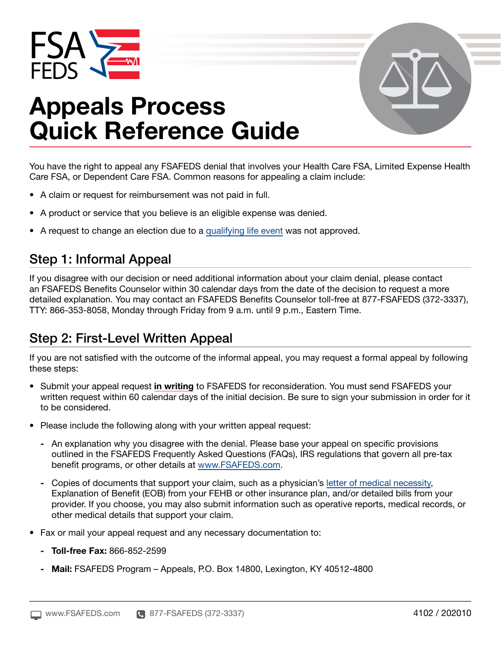



# Appeals Process Quick Reference Guide

You have the right to appeal any FSAFEDS denial that involves your Health Care FSA, Limited Expense Health Care FSA, or Dependent Care FSA. Common reasons for appealing a claim include:

- A claim or request for reimbursement was not paid in full.
- A product or service that you believe is an eligible expense was denied.
- A request to change an election due to a [qualifying life event](http://qualifying life event) was not approved.

### Step 1: Informal Appeal

If you disagree with our decision or need additional information about your claim denial, please contact an FSAFEDS Benefits Counselor within 30 calendar days from the date of the decision to request a more detailed explanation. You may contact an FSAFEDS Benefits Counselor toll-free at 877-FSAFEDS (372-3337), TTY: 866-353-8058, Monday through Friday from 9 a.m. until 9 p.m., Eastern Time.

### Step 2: First-Level Written Appeal

If you are not satisfied with the outcome of the informal appeal, you may request a formal appeal by following these steps:

- Submit your appeal request in writing to FSAFEDS for reconsideration. You must send FSAFEDS your written request within 60 calendar days of the initial decision. Be sure to sign your submission in order for it to be considered.
- Please include the following along with your written appeal request:
	- An explanation why you disagree with the denial. Please base your appeal on specific provisions outlined in the FSAFEDS Frequently Asked Questions (FAQs), IRS regulations that govern all pre-tax benefit programs, or other details at [www.FSAFEDS.com.](http://www.FSAFEDS.com)
	- Copies of documents that support your claim, such as a physician's [letter of medical necessity,](http://letter of medical necessity) Explanation of Benefit (EOB) from your FEHB or other insurance plan, and/or detailed bills from your provider. If you choose, you may also submit information such as operative reports, medical records, or other medical details that support your claim.
- Fax or mail your appeal request and any necessary documentation to:
	- Toll-free Fax: 866-852-2599
	- Mail: FSAFEDS Program Appeals, P.O. Box 14800, Lexington, KY 40512-4800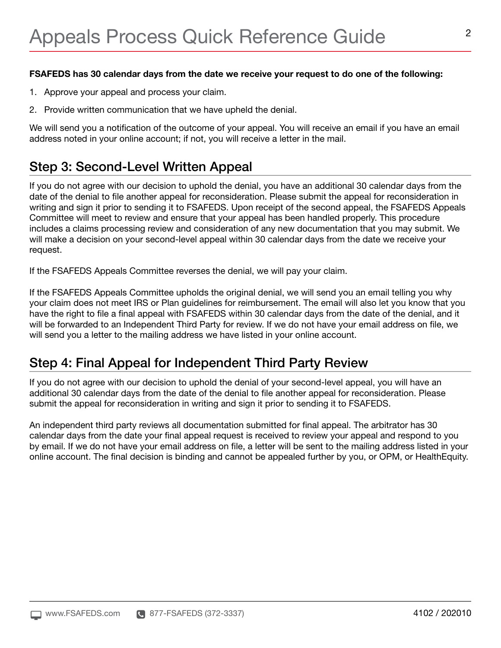#### FSAFEDS has 30 calendar days from the date we receive your request to do one of the following:

- 1. Approve your appeal and process your claim.
- 2. Provide written communication that we have upheld the denial.

We will send you a notification of the outcome of your appeal. You will receive an email if you have an email address noted in your online account; if not, you will receive a letter in the mail.

### Step 3: Second-Level Written Appeal

If you do not agree with our decision to uphold the denial, you have an additional 30 calendar days from the date of the denial to file another appeal for reconsideration. Please submit the appeal for reconsideration in writing and sign it prior to sending it to FSAFEDS. Upon receipt of the second appeal, the FSAFEDS Appeals Committee will meet to review and ensure that your appeal has been handled properly. This procedure includes a claims processing review and consideration of any new documentation that you may submit. We will make a decision on your second-level appeal within 30 calendar days from the date we receive your request.

If the FSAFEDS Appeals Committee reverses the denial, we will pay your claim.

If the FSAFEDS Appeals Committee upholds the original denial, we will send you an email telling you why your claim does not meet IRS or Plan guidelines for reimbursement. The email will also let you know that you have the right to file a final appeal with FSAFEDS within 30 calendar days from the date of the denial, and it will be forwarded to an Independent Third Party for review. If we do not have your email address on file, we will send you a letter to the mailing address we have listed in your online account.

### Step 4: Final Appeal for Independent Third Party Review

If you do not agree with our decision to uphold the denial of your second-level appeal, you will have an additional 30 calendar days from the date of the denial to file another appeal for reconsideration. Please submit the appeal for reconsideration in writing and sign it prior to sending it to FSAFEDS.

An independent third party reviews all documentation submitted for final appeal. The arbitrator has 30 calendar days from the date your final appeal request is received to review your appeal and respond to you by email. If we do not have your email address on file, a letter will be sent to the mailing address listed in your online account. The final decision is binding and cannot be appealed further by you, or OPM, or HealthEquity.